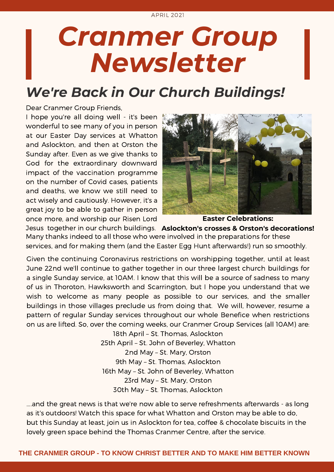# *Cranmer Group Newsletter*

#### *We're Back in Our Church Buildings!*

Dear Cranmer Group Friends,

I hope you're all doing well - it's been wonderful to see many of you in person at our Easter Day services at Whatton and Aslockton, and then at Orston the Sunday after. Even as we give thanks to God for the extraordinary downward impact of the vaccination programme on the number of Covid cases, patients and deaths, we know we still need to act wisely and cautiously. However, it's a great joy to be able to gather in person once more, and worship our Risen Lord



**Easter Celebrations:**

Jesus together in our church buildings. **Aslockton's crosses & Orston's decorations!** Many thanks indeed to all those who were involved in the preparations for these services, and for making them (and the Easter Egg Hunt afterwards!) run so smoothly.

Given the continuing Coronavirus restrictions on worshipping together, until at least June 22nd we'll continue to gather together in our three largest church buildings for a single Sunday service, at 10AM. I know that this will be a source of sadness to many of us in Thoroton, Hawksworth and Scarrington, but I hope you understand that we wish to welcome as many people as possible to our services, and the smaller buildings in those villages preclude us from doing that. We will, however, resume a pattern of regular Sunday services throughout our whole Benefice when restrictions on us are lifted. So, over the coming weeks, our Cranmer Group Services (all 10AM) are:

18th April – St. Thomas, Aslockton 25th April – St. John of Beverley, Whatton 2nd May – St. Mary, Orston 9th May – St. Thomas, Aslockton 16th May – St. John of Beverley, Whatton 23rd May – St. Mary, Orston 30th May – St. Thomas, Aslockton

....and the great news is that we're now able to serve refreshments afterwards - as long as it's outdoors! Watch this space for what Whatton and Orston may be able to do, but this Sunday at least, join us in Aslockton for tea, coffee & chocolate biscuits in the lovely green space behind the Thomas Cranmer Centre, after the service.